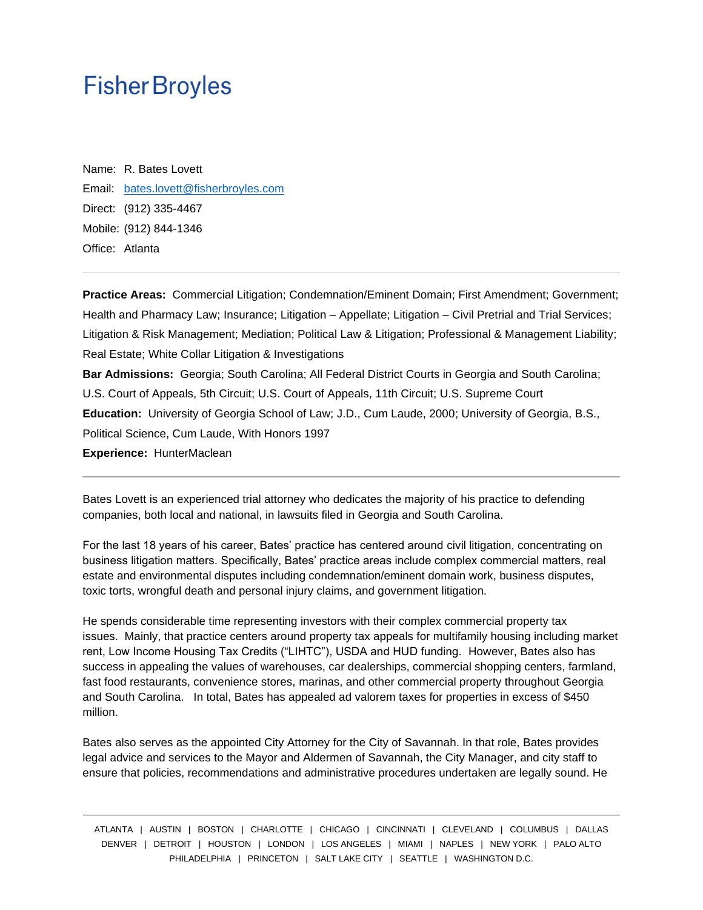Name: R. Bates Lovett Email: [bates.lovett@fisherbroyles.com](mailto:bates.lovett@fisherbroyles.com) Direct: (912) 335-4467 Mobile: (912) 844-1346 Office: Atlanta

**Practice Areas:** Commercial Litigation; Condemnation/Eminent Domain; First Amendment; Government; Health and Pharmacy Law; Insurance; Litigation – Appellate; Litigation – Civil Pretrial and Trial Services; Litigation & Risk Management; Mediation; Political Law & Litigation; Professional & Management Liability; Real Estate; White Collar Litigation & Investigations **Bar Admissions:** Georgia; South Carolina; All Federal District Courts in Georgia and South Carolina; U.S. Court of Appeals, 5th Circuit; U.S. Court of Appeals, 11th Circuit; U.S. Supreme Court **Education:** University of Georgia School of Law; J.D., Cum Laude, 2000; University of Georgia, B.S., Political Science, Cum Laude, With Honors 1997

**Experience:** HunterMaclean

Bates Lovett is an experienced trial attorney who dedicates the majority of his practice to defending companies, both local and national, in lawsuits filed in Georgia and South Carolina.

For the last 18 years of his career, Bates' practice has centered around civil litigation, concentrating on business litigation matters. Specifically, Bates' practice areas include complex commercial matters, real estate and environmental disputes including condemnation/eminent domain work, business disputes, toxic torts, wrongful death and personal injury claims, and government litigation.

He spends considerable time representing investors with their complex commercial property tax issues. Mainly, that practice centers around property tax appeals for multifamily housing including market rent, Low Income Housing Tax Credits ("LIHTC"), USDA and HUD funding. However, Bates also has success in appealing the values of warehouses, car dealerships, commercial shopping centers, farmland, fast food restaurants, convenience stores, marinas, and other commercial property throughout Georgia and South Carolina. In total, Bates has appealed ad valorem taxes for properties in excess of \$450 million.

Bates also serves as the appointed City Attorney for the City of Savannah. In that role, Bates provides legal advice and services to the Mayor and Aldermen of Savannah, the City Manager, and city staff to ensure that policies, recommendations and administrative procedures undertaken are legally sound. He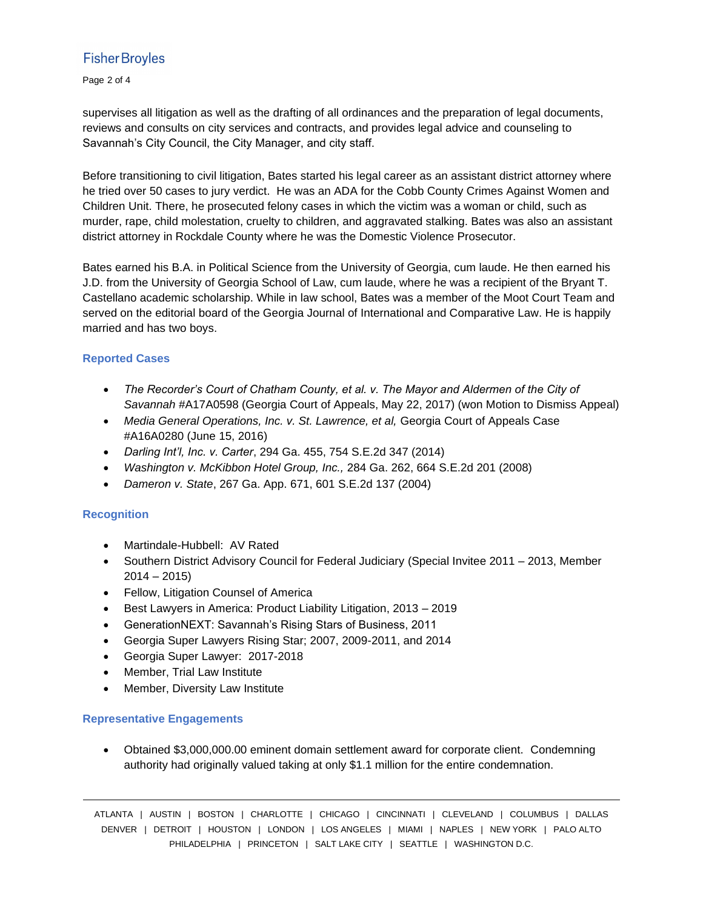Page 2 of 4

supervises all litigation as well as the drafting of all ordinances and the preparation of legal documents, reviews and consults on city services and contracts, and provides legal advice and counseling to Savannah's City Council, the City Manager, and city staff.

Before transitioning to civil litigation, Bates started his legal career as an assistant district attorney where he tried over 50 cases to jury verdict. He was an ADA for the Cobb County Crimes Against Women and Children Unit. There, he prosecuted felony cases in which the victim was a woman or child, such as murder, rape, child molestation, cruelty to children, and aggravated stalking. Bates was also an assistant district attorney in Rockdale County where he was the Domestic Violence Prosecutor.

Bates earned his B.A. in Political Science from the University of Georgia, cum laude. He then earned his J.D. from the University of Georgia School of Law, cum laude, where he was a recipient of the Bryant T. Castellano academic scholarship. While in law school, Bates was a member of the Moot Court Team and served on the editorial board of the Georgia Journal of International and Comparative Law. He is happily married and has two boys.

#### **Reported Cases**

- The Recorder's Court of Chatham County, et al. v. The Mayor and Aldermen of the City of *Savannah* #A17A0598 (Georgia Court of Appeals, May 22, 2017) (won Motion to Dismiss Appeal)
- *Media General Operations, Inc. v. St. Lawrence, et al,* Georgia Court of Appeals Case #A16A0280 (June 15, 2016)
- *Darling Int'l, Inc. v. Carter*, 294 Ga. 455, 754 S.E.2d 347 (2014)
- *Washington v. McKibbon Hotel Group, Inc.,* 284 Ga. 262, 664 S.E.2d 201 (2008)
- *Dameron v. State*, 267 Ga. App. 671, 601 S.E.2d 137 (2004)

#### **Recognition**

- Martindale-Hubbell: AV Rated
- Southern District Advisory Council for Federal Judiciary (Special Invitee 2011 2013, Member  $2014 - 2015$
- Fellow, Litigation Counsel of America
- Best Lawyers in America: Product Liability Litigation, 2013 2019
- GenerationNEXT: Savannah's Rising Stars of Business, 2011
- Georgia Super Lawyers Rising Star; 2007, 2009-2011, and 2014
- Georgia Super Lawyer: 2017-2018
- Member, Trial Law Institute
- Member, Diversity Law Institute

#### **Representative Engagements**

• Obtained \$3,000,000.00 eminent domain settlement award for corporate client. Condemning authority had originally valued taking at only \$1.1 million for the entire condemnation.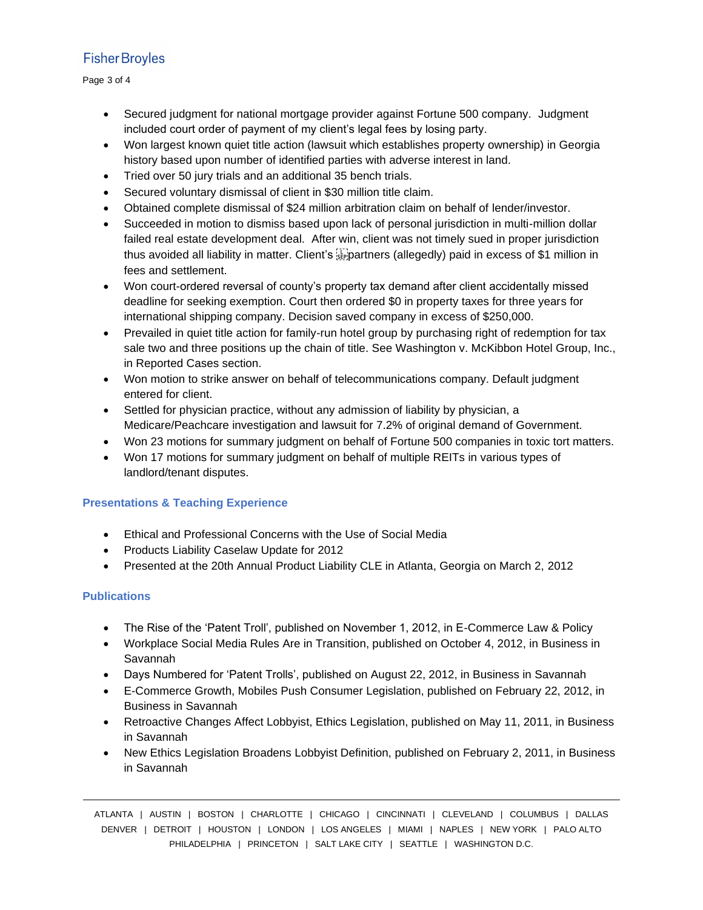Page 3 of 4

- Secured judgment for national mortgage provider against Fortune 500 company. Judgment included court order of payment of my client's legal fees by losing party.
- Won largest known quiet title action (lawsuit which establishes property ownership) in Georgia history based upon number of identified parties with adverse interest in land.
- Tried over 50 jury trials and an additional 35 bench trials.
- Secured voluntary dismissal of client in \$30 million title claim.
- Obtained complete dismissal of \$24 million arbitration claim on behalf of lender/investor.
- Succeeded in motion to dismiss based upon lack of personal jurisdiction in multi-million dollar failed real estate development deal. After win, client was not timely sued in proper jurisdiction thus avoided all liability in matter. Client's **Follocation** (allegedly) paid in excess of \$1 million in fees and settlement.
- Won court-ordered reversal of county's property tax demand after client accidentally missed deadline for seeking exemption. Court then ordered \$0 in property taxes for three years for international shipping company. Decision saved company in excess of \$250,000.
- Prevailed in quiet title action for family-run hotel group by purchasing right of redemption for tax sale two and three positions up the chain of title. See Washington v. McKibbon Hotel Group, Inc., in Reported Cases section.
- Won motion to strike answer on behalf of telecommunications company. Default judgment entered for client.
- Settled for physician practice, without any admission of liability by physician, a Medicare/Peachcare investigation and lawsuit for 7.2% of original demand of Government.
- Won 23 motions for summary judgment on behalf of Fortune 500 companies in toxic tort matters.
- Won 17 motions for summary judgment on behalf of multiple REITs in various types of landlord/tenant disputes.

## **Presentations & Teaching Experience**

- Ethical and Professional Concerns with the Use of Social Media
- Products Liability Caselaw Update for 2012
- Presented at the 20th Annual Product Liability CLE in Atlanta, Georgia on March 2, 2012

## **Publications**

- The Rise of the 'Patent Troll', published on November 1, 2012, in E-Commerce Law & Policy
- Workplace Social Media Rules Are in Transition, published on October 4, 2012, in Business in Savannah
- Days Numbered for 'Patent Trolls', published on August 22, 2012, in Business in Savannah
- E-Commerce Growth, Mobiles Push Consumer Legislation, published on February 22, 2012, in Business in Savannah
- Retroactive Changes Affect Lobbyist, Ethics Legislation, published on May 11, 2011, in Business in Savannah
- New Ethics Legislation Broadens Lobbyist Definition, published on February 2, 2011, in Business in Savannah